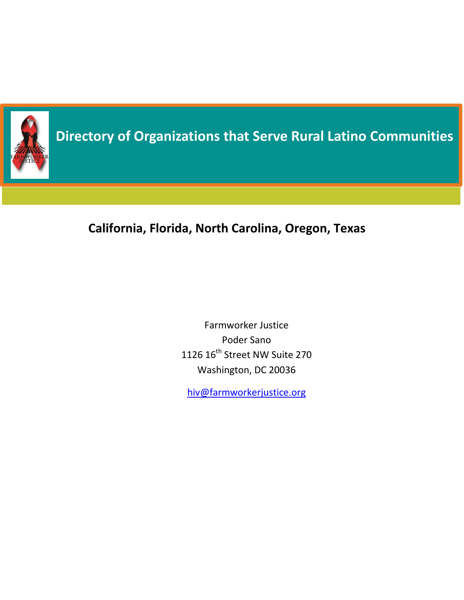

# **Directory of Organizations that Serve Rural Latino Communities**

# **California, Florida, North Carolina, Oregon, Texas**

Farmworker Justice Poder Sano 1126 16<sup>th</sup> Street NW Suite 270 Washington, DC 20036

[hiv@farmworkerjustice.org](mailto:hiv@farmworkerjustice.org)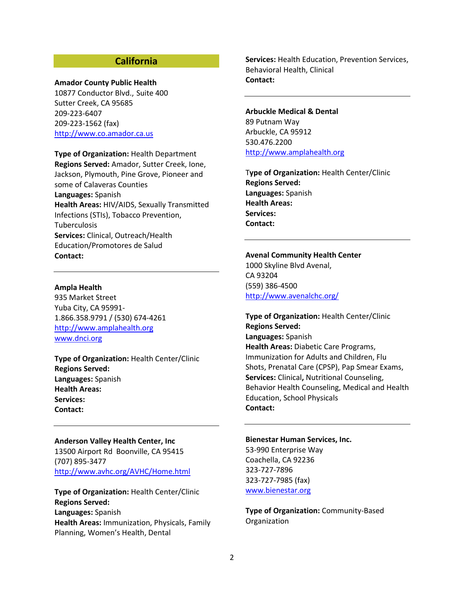### **California**

#### **Amador County Public Health**

10877 Conductor Blvd., Suite 400 Sutter Creek, CA 95685 209-223-6407 209-223-1562 (fax) [http://www.co.amador.ca.us](http://www.co.amador.ca.us/)

**Type of Organization:** Health Department **Regions Served:** Amador, Sutter Creek, Ione, Jackson, Plymouth, Pine Grove, Pioneer and some of Calaveras Counties **Languages:** Spanish **Health Areas:** HIV/AIDS, Sexually Transmitted Infections (STIs), Tobacco Prevention, **Tuberculosis Services:** Clinical, Outreach/Health Education/Promotores de Salud **Contact:** 

**Ampla Health**

935 Market Street Yuba City, CA 95991- 1.866.358.9791 / (530) 674-4261 [http://www.amplahealth.org](http://www.amplahealth.org/) [www.dnci.org](http://www.dnci.org/)

**Type of Organization:** Health Center/Clinic **Regions Served: Languages:** Spanish **Health Areas: Services: Contact:** 

**Anderson Valley Health Center, Inc** 13500 Airport Rd Boonville, CA 95415 (707) 895-3477 <http://www.avhc.org/AVHC/Home.html>

**Type of Organization:** Health Center/Clinic **Regions Served: Languages:** Spanish **Health Areas:** Immunization, Physicals, Family Planning, Women's Health, Dental

**Services:** Health Education, Prevention Services, Behavioral Health, Clinical **Contact:** 

**Arbuckle Medical & Dental**  89 Putnam Way Arbuckle, CA 95912 530.476.2200 [http://www.amplahealth.org](http://www.amplahealth.org/)

T**ype of Organization:** Health Center/Clinic **Regions Served: Languages:** Spanish **Health Areas: Services: Contact:** 

**Avenal Community Health Center**  1000 Skyline Blvd Avenal, CA 93204 (559) 386-4500 <http://www.avenalchc.org/>

**Type of Organization:** Health Center/Clinic **Regions Served: Languages:** Spanish **Health Areas:** Diabetic Care Programs, Immunization for Adults and Children, Flu Shots, Prenatal Care (CPSP), Pap Smear Exams, **Services:** Clinical**,** Nutritional Counseling, Behavior Health Counseling, Medical and Health Education, School Physicals **Contact:** 

**Bienestar Human Services, Inc.**

53-990 Enterprise Way Coachella, CA 92236 323-727-7896 323-727-7985 (fax) [www.bienestar.org](http://www.bienestar.org/)

**Type of Organization:** Community-Based Organization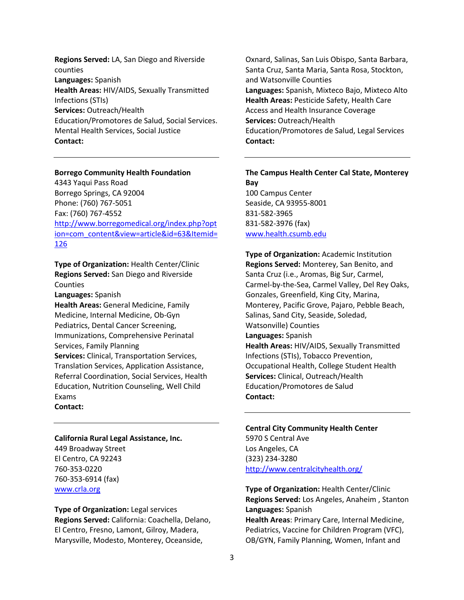**Regions Served:** LA, San Diego and Riverside counties **Languages:** Spanish **Health Areas:** HIV/AIDS, Sexually Transmitted Infections (STIs) **Services:** Outreach/Health Education/Promotores de Salud, Social Services. Mental Health Services, Social Justice **Contact:** 

#### **Borrego Community Health Foundation**

4343 Yaqui Pass Road Borrego Springs, CA 92004 Phone: (760) 767-5051 Fax: (760) 767-4552 [http://www.borregomedical.org/index.php?opt](http://www.borregomedical.org/index.php?option=com_content&view=article&id=63&Itemid=126) [ion=com\\_content&view=article&id=63&Itemid=](http://www.borregomedical.org/index.php?option=com_content&view=article&id=63&Itemid=126) [126](http://www.borregomedical.org/index.php?option=com_content&view=article&id=63&Itemid=126)

**Type of Organization:** Health Center/Clinic **Regions Served:** San Diego and Riverside Counties

**Languages:** Spanish

**Health Areas:** General Medicine, Family Medicine, Internal Medicine, Ob-Gyn Pediatrics, Dental Cancer Screening, Immunizations, Comprehensive Perinatal Services, Family Planning **Services:** Clinical, Transportation Services, Translation Services, Application Assistance, Referral Coordination, Social Services, Health Education, Nutrition Counseling, Well Child Exams

#### **Contact:**

### **California Rural Legal Assistance, Inc.**

449 Broadway Street El Centro, CA 92243 760-353-0220 760-353-6914 (fax) [www.crla.org](http://www.crla.org/)

**Type of Organization:** Legal services **Regions Served:** California: Coachella, Delano, El Centro, Fresno, Lamont, Gilroy, Madera, Marysville, Modesto, Monterey, Oceanside,

Oxnard, Salinas, San Luis Obispo, Santa Barbara, Santa Cruz, Santa Maria, Santa Rosa, Stockton, and Watsonville Counties **Languages:** Spanish, Mixteco Bajo, Mixteco Alto **Health Areas:** Pesticide Safety, Health Care Access and Health Insurance Coverage **Services:** Outreach/Health Education/Promotores de Salud, Legal Services **Contact:** 

**The Campus Health Center Cal State, Monterey Bay** 100 Campus Center Seaside, CA 93955-8001 831-582-3965 831-582-3976 (fax) [www.health.csumb.edu](http://www.health.csumb.edu/)

**Type of Organization:** Academic Institution **Regions Served:** Monterey, San Benito, and Santa Cruz (i.e., Aromas, Big Sur, Carmel, Carmel-by-the-Sea, Carmel Valley, Del Rey Oaks, Gonzales, Greenfield, King City, Marina, Monterey, Pacific Grove, Pajaro, Pebble Beach, Salinas, Sand City, Seaside, Soledad, Watsonville) Counties **Languages:** Spanish **Health Areas:** HIV/AIDS, Sexually Transmitted Infections (STIs), Tobacco Prevention, Occupational Health, College Student Health **Services:** Clinical, Outreach/Health Education/Promotores de Salud **Contact:** 

**Central City Community Health Center**  5970 S Central Ave Los Angeles, CA (323) 234-3280 <http://www.centralcityhealth.org/>

**Type of Organization:** Health Center/Clinic **Regions Served:** Los Angeles, Anaheim , Stanton **Languages:** Spanish **Health Areas**: Primary Care, Internal Medicine, Pediatrics, Vaccine for Children Program (VFC), OB/GYN, Family Planning, Women, Infant and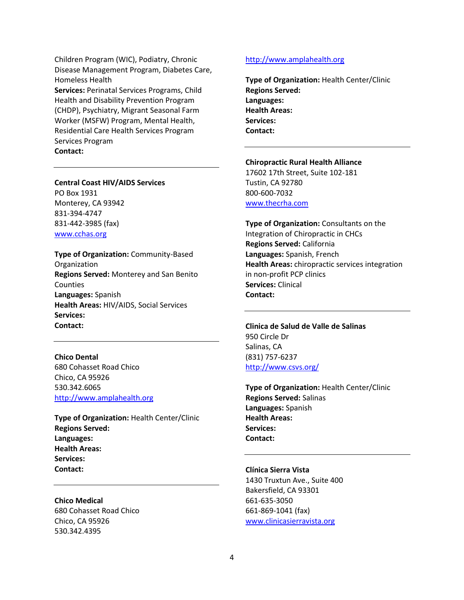Children Program (WIC), Podiatry, Chronic Disease Management Program, Diabetes Care, Homeless Health

**Services:** Perinatal Services Programs, Child Health and Disability Prevention Program (CHDP), Psychiatry, Migrant Seasonal Farm Worker (MSFW) Program, Mental Health, Residential Care Health Services Program Services Program **Contact:** 

### **Central Coast HIV/AIDS Services**

PO Box 1931 Monterey, CA 93942 831-394-4747 831-442-3985 (fax) [www.cchas.org](http://www.cchas.org/)

**Contact:** 

**Type of Organization:** Community-Based **Organization Regions Served:** Monterey and San Benito Counties **Languages:** Spanish **Health Areas:** HIV/AIDS, Social Services **Services:** 

**Chico Dental** 680 Cohasset Road Chico Chico, CA 95926 530.342.6065 [http://www.amplahealth.org](http://www.amplahealth.org/)

**Type of Organization:** Health Center/Clinic **Regions Served: Languages: Health Areas: Services: Contact:** 

#### **Chico Medical**

680 Cohasset Road Chico Chico, CA 95926 530.342.4395

### [http://www.amplahealth.org](http://www.amplahealth.org/)

**Type of Organization:** Health Center/Clinic **Regions Served: Languages: Health Areas: Services: Contact:** 

**Chiropractic Rural Health Alliance**

17602 17th Street, Suite 102-181 Tustin, CA 92780 800-600-7032 [www.thecrha.com](http://www.thecrha.com/)

**Type of Organization:** Consultants on the Integration of Chiropractic in CHCs **Regions Served:** California **Languages:** Spanish, French **Health Areas:** chiropractic services integration in non-profit PCP clinics **Services:** Clinical **Contact:** 

**Clinica de Salud de Valle de Salinas**  950 Circle Dr Salinas, CA (831) 757-6237 <http://www.csvs.org/>

**Type of Organization:** Health Center/Clinic **Regions Served:** Salinas **Languages:** Spanish **Health Areas: Services: Contact:** 

### **Clínica Sierra Vista**

1430 Truxtun Ave., Suite 400 Bakersfield, CA 93301 661-635-3050 661-869-1041 (fax) www.clinicasierravista.org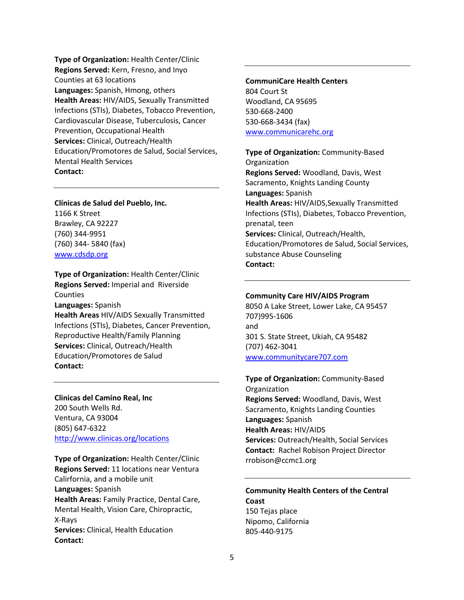**Type of Organization:** Health Center/Clinic **Regions Served:** Kern, Fresno, and Inyo Counties at 63 locations **Languages:** Spanish, Hmong, others **Health Areas:** HIV/AIDS, Sexually Transmitted Infections (STIs), Diabetes, Tobacco Prevention, Cardiovascular Disease, Tuberculosis, Cancer Prevention, Occupational Health **Services:** Clinical, Outreach/Health Education/Promotores de Salud, Social Services, Mental Health Services **Contact:** 

**Clínicas de Salud del Pueblo, Inc.** 1166 K Street Brawley, CA 92227 (760) 344-9951 (760) 344- 5840 (fax)

[www.cdsdp.org](http://www.cdsdp.org/)

**Type of Organization:** Health Center/Clinic **Regions Served:** Imperial and Riverside **Counties Languages:** Spanish **Health Areas** HIV/AIDS Sexually Transmitted Infections (STIs), Diabetes, Cancer Prevention, Reproductive Health/Family Planning **Services:** Clinical, Outreach/Health Education/Promotores de Salud **Contact:** 

**Clinicas del Camino Real, Inc** 200 South Wells Rd. Ventura, CA 93004 (805) 647-6322 <http://www.clinicas.org/locations>

**Type of Organization:** Health Center/Clinic **Regions Served:** 11 locations near Ventura Calirfornia, and a mobile unit **Languages:** Spanish **Health Areas:** Family Practice, Dental Care, Mental Health, Vision Care, Chiropractic, X-Rays **Services:** Clinical, Health Education **Contact:** 

### **CommuniCare Health Centers** 804 Court St Woodland, CA 95695 530-668-2400 530-668-3434 (fax) [www.communicarehc.org](http://www.communicarehc.org/)

**Type of Organization:** Community-Based Organization **Regions Served:** Woodland, Davis, West Sacramento, Knights Landing County **Languages:** Spanish **Health Areas:** HIV/AIDS,Sexually Transmitted Infections (STIs), Diabetes, Tobacco Prevention, prenatal, teen **Services:** Clinical, Outreach/Health, Education/Promotores de Salud, Social Services, substance Abuse Counseling **Contact:** 

### **Community Care HIV/AIDS Program**

8050 A Lake Street, Lower Lake, CA 95457 707)995-1606 and 301 S. State Street, Ukiah, CA 95482 (707) 462-3041 [www.communitycare707.com](http://www.communitycare707.com/)

**Type of Organization:** Community-Based **Organization Regions Served:** Woodland, Davis, West Sacramento, Knights Landing Counties **Languages:** Spanish **Health Areas:** HIV/AIDS **Services:** Outreach/Health, Social Services **Contact:** Rachel Robison Project Director rrobison@ccmc1.org

# **Community Health Centers of the Central Coast**

150 Tejas place Nipomo, California 805-440-9175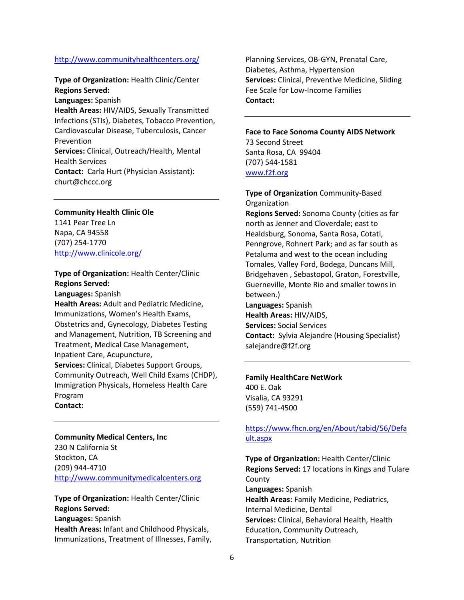### <http://www.communityhealthcenters.org/>

**Type of Organization:** Health Clinic/Center **Regions Served: Languages:** Spanish **Health Areas:** HIV/AIDS, Sexually Transmitted Infections (STIs), Diabetes, Tobacco Prevention, Cardiovascular Disease, Tuberculosis, Cancer Prevention **Services:** Clinical, Outreach/Health, Mental Health Services **Contact:** Carla Hurt (Physician Assistant): churt@chccc.org

**Community Health Clinic Ole**  1141 Pear Tree Ln Napa, CA 94558 (707) 254-1770 <http://www.clinicole.org/>

**Type of Organization:** Health Center/Clinic **Regions Served:** 

**Languages:** Spanish

**Health Areas:** Adult and Pediatric Medicine, Immunizations, Women's Health Exams, Obstetrics and, Gynecology, Diabetes Testing and Management, Nutrition, TB Screening and Treatment, Medical Case Management, Inpatient Care, Acupuncture, **Services:** Clinical, Diabetes Support Groups, Community Outreach, Well Child Exams (CHDP), Immigration Physicals, Homeless Health Care Program **Contact:** 

**Community Medical Centers, Inc** 230 N California St Stockton, CA (209) 944-4710 [http://www.communitymedicalcenters.org](http://www.communitymedicalcenters.org/)

**Type of Organization:** Health Center/Clinic **Regions Served: Languages:** Spanish **Health Areas:** Infant and Childhood Physicals, Immunizations, Treatment of Illnesses, Family, Planning Services, OB-GYN, Prenatal Care, Diabetes, Asthma, Hypertension **Services:** Clinical, Preventive Medicine, Sliding Fee Scale for Low-Income Families **Contact:** 

**Face to Face Sonoma County AIDS Network** 73 Second Street Santa Rosa, CA 99404 (707) 544-1581 [www.f2f.org](http://www.f2f.org/)

**Type of Organization** Community-Based Organization **Regions Served:** Sonoma County (cities as far north as Jenner and Cloverdale; east to Healdsburg, Sonoma, Santa Rosa, Cotati, Penngrove, Rohnert Park; and as far south as Petaluma and west to the ocean including Tomales, Valley Ford, Bodega, Duncans Mill, Bridgehaven , Sebastopol, Graton, Forestville, Guerneville, Monte Rio and smaller towns in between.) **Languages:** Spanish **Health Areas:** HIV/AIDS, **Services:** Social Services **Contact:** Sylvia Alejandre (Housing Specialist) salejandre@f2f.org

**Family HealthCare NetWork** 400 E. Oak Visalia, CA 93291 (559) 741-4500

### [https://www.fhcn.org/en/About/tabid/56/Defa](https://www.fhcn.org/en/About/tabid/56/Default.aspx) [ult.aspx](https://www.fhcn.org/en/About/tabid/56/Default.aspx)

**Type of Organization:** Health Center/Clinic **Regions Served:** 17 locations in Kings and Tulare County **Languages:** Spanish **Health Areas:** Family Medicine, Pediatrics, Internal Medicine, Dental **Services:** Clinical, Behavioral Health, Health Education, Community Outreach, Transportation, Nutrition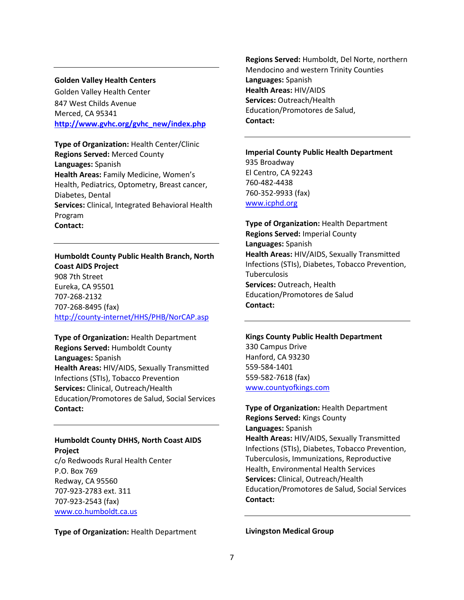### **Golden Valley Health Centers**

Golden Valley Health Center 847 West Childs Avenue Merced, CA 95341 **[http://www.gvhc.org/gvhc\\_new/index.php](http://www.gvhc.org/gvhc_new/index.php)**

**Type of Organization:** Health Center/Clinic **Regions Served:** Merced County **Languages:** Spanish **Health Areas:** Family Medicine, Women's Health, Pediatrics, Optometry, Breast cancer, Diabetes, Dental **Services:** Clinical, Integrated Behavioral Health Program **Contact:** 

**Humboldt County Public Health Branch, North Coast AIDS Project** 908 7th Street Eureka, CA 95501 707-268-2132 707-268-8495 (fax) <http://county-internet/HHS/PHB/NorCAP.asp>

**Type of Organization:** Health Department **Regions Served:** Humboldt County **Languages:** Spanish **Health Areas:** HIV/AIDS, Sexually Transmitted Infections (STIs), Tobacco Prevention **Services:** Clinical, Outreach/Health Education/Promotores de Salud, Social Services **Contact:** 

**Humboldt County DHHS, North Coast AIDS Project**

c/o Redwoods Rural Health Center P.O. Box 769 Redway, CA 95560 707-923-2783 ext. 311 707-923-2543 (fax) [www.co.humboldt.ca.us](http://www.co.humboldt.ca.us/)

**Type of Organization:** Health Department

**Regions Served:** Humboldt, Del Norte, northern Mendocino and western Trinity Counties **Languages:** Spanish **Health Areas:** HIV/AIDS **Services:** Outreach/Health Education/Promotores de Salud, **Contact:** 

**Imperial County Public Health Department** 935 Broadway El Centro, CA 92243 760-482-4438 760-352-9933 (fax) [www.icphd.org](http://www.icphd.org/)

**Type of Organization:** Health Department **Regions Served:** Imperial County **Languages:** Spanish **Health Areas:** HIV/AIDS, Sexually Transmitted Infections (STIs), Diabetes, Tobacco Prevention, Tuberculosis **Services:** Outreach, Health Education/Promotores de Salud **Contact:** 

**Kings County Public Health Department**

330 Campus Drive Hanford, CA 93230 559-584-1401 559-582-7618 (fax) [www.countyofkings.com](http://www.countyofkings.com/) 

**Type of Organization:** Health Department **Regions Served:** Kings County **Languages:** Spanish **Health Areas:** HIV/AIDS, Sexually Transmitted Infections (STIs), Diabetes, Tobacco Prevention, Tuberculosis, Immunizations, Reproductive Health, Environmental Health Services **Services:** Clinical, Outreach/Health Education/Promotores de Salud, Social Services **Contact:** 

**Livingston Medical Group**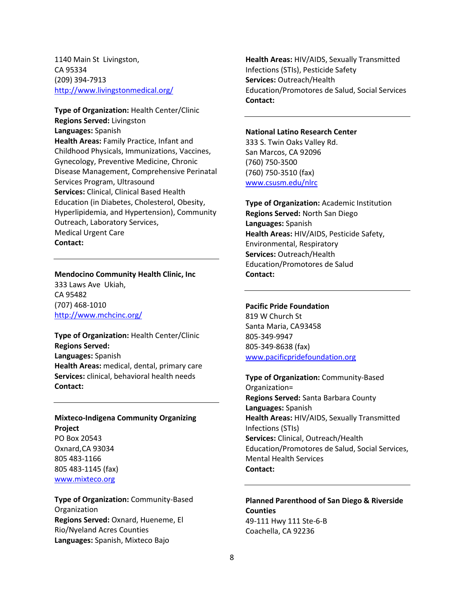1140 Main St Livingston, CA 95334 (209) 394-7913 <http://www.livingstonmedical.org/>

**Type of Organization:** Health Center/Clinic **Regions Served:** Livingston **Languages:** Spanish **Health Areas:** Family Practice, Infant and Childhood Physicals, Immunizations, Vaccines, Gynecology, Preventive Medicine, Chronic Disease Management, Comprehensive Perinatal Services Program, Ultrasound **Services:** Clinical, Clinical Based Health Education (in Diabetes, Cholesterol, Obesity, Hyperlipidemia, and Hypertension), Community Outreach, Laboratory Services, Medical Urgent Care **Contact:** 

**Mendocino Community Health Clinic, Inc** 333 Laws Ave Ukiah, CA 95482 (707) 468-1010 <http://www.mchcinc.org/>

**Type of Organization:** Health Center/Clinic **Regions Served: Languages:** Spanish **Health Areas:** medical, dental, primary care **Services:** clinical, behavioral health needs **Contact:** 

**Mixteco-Indigena Community Organizing Project** PO Box 20543 Oxnard,CA 93034 805 483-1166 805 483-1145 (fax)

[www.mixteco.org](http://www.mixteco.org/)

**Type of Organization:** Community-Based **Organization Regions Served:** Oxnard, Hueneme, El Rio/Nyeland Acres Counties **Languages:** Spanish, Mixteco Bajo

**Health Areas:** HIV/AIDS, Sexually Transmitted Infections (STIs), Pesticide Safety **Services:** Outreach/Health Education/Promotores de Salud, Social Services **Contact:** 

#### **National Latino Research Center**

333 S. Twin Oaks Valley Rd. San Marcos, CA 92096 (760) 750-3500 (760) 750-3510 (fax) [www.csusm.edu/nlrc](http://www.csusm.edu/nlrc)

**Type of Organization:** Academic Institution **Regions Served:** North San Diego **Languages:** Spanish **Health Areas:** HIV/AIDS, Pesticide Safety, Environmental, Respiratory **Services:** Outreach/Health Education/Promotores de Salud **Contact:** 

#### **Pacific Pride Foundation**

819 W Church St Santa Maria, CA93458 805-349-9947 805-349-8638 (fax) [www.pacificpridefoundation.org](http://www.pacificpridefoundation.org/)

**Type of Organization:** Community-Based Organization= **Regions Served:** Santa Barbara County **Languages:** Spanish **Health Areas:** HIV/AIDS, Sexually Transmitted Infections (STIs) **Services:** Clinical, Outreach/Health Education/Promotores de Salud, Social Services, Mental Health Services **Contact:** 

**Planned Parenthood of San Diego & Riverside Counties** 49-111 Hwy 111 Ste-6-B Coachella, CA 92236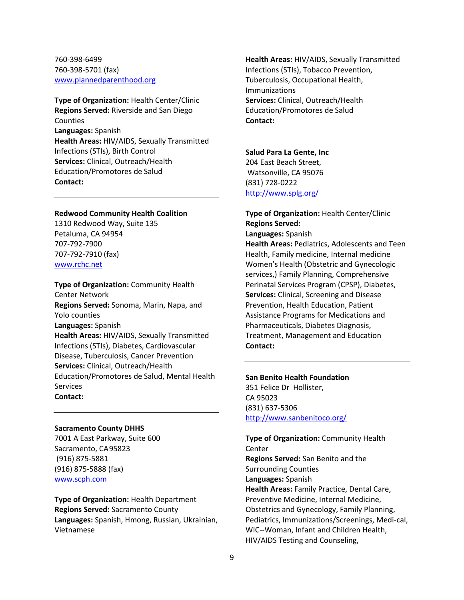760-398-6499 760-398-5701 (fax) [www.plannedparenthood.org](http://www.plannedparenthood.org/)

**Type of Organization:** Health Center/Clinic **Regions Served:** Riverside and San Diego **Counties Languages:** Spanish **Health Areas:** HIV/AIDS, Sexually Transmitted Infections (STIs), Birth Control **Services:** Clinical, Outreach/Health Education/Promotores de Salud **Contact:** 

#### **Redwood Community Health Coalition**

1310 Redwood Way, Suite 135 Petaluma, CA 94954 707-792-7900 707-792-7910 (fax) [www.rchc.net](http://www.rchc.net/)

**Type of Organization:** Community Health Center Network **Regions Served:** Sonoma, Marin, Napa, and Yolo counties **Languages:** Spanish **Health Areas:** HIV/AIDS, Sexually Transmitted Infections (STIs), Diabetes, Cardiovascular Disease, Tuberculosis, Cancer Prevention **Services:** Clinical, Outreach/Health Education/Promotores de Salud, Mental Health **Services Contact:** 

#### **Sacramento County DHHS**

7001 A East Parkway, Suite 600 Sacramento, CA95823 (916) 875-5881 (916) 875-5888 (fax) [www.scph.com](http://www.scph.com/)

**Type of Organization:** Health Department **Regions Served:** Sacramento County **Languages:** Spanish, Hmong, Russian, Ukrainian, Vietnamese

**Health Areas:** HIV/AIDS, Sexually Transmitted Infections (STIs), Tobacco Prevention, Tuberculosis, Occupational Health, Immunizations **Services:** Clinical, Outreach/Health Education/Promotores de Salud **Contact:** 

#### **Salud Para La Gente, Inc**

204 East Beach Street, Watsonville, CA 95076 (831) 728-0222 <http://www.splg.org/>

**Type of Organization:** Health Center/Clinic **Regions Served: Languages:** Spanish **Health Areas:** Pediatrics, Adolescents and Teen Health, Family medicine, Internal medicine Women's Health (Obstetric and Gynecologic services,) Family Planning, Comprehensive Perinatal Services Program (CPSP), Diabetes, **Services:** Clinical, Screening and Disease Prevention, Health Education, Patient Assistance Programs for Medications and Pharmaceuticals, Diabetes Diagnosis, Treatment, Management and Education **Contact:** 

### **San Benito Health Foundation**

351 Felice Dr Hollister, CA 95023 (831) 637-5306 <http://www.sanbenitoco.org/>

**Type of Organization:** Community Health Center **Regions Served:** San Benito and the Surrounding Counties **Languages:** Spanish **Health Areas:** Family Practice, Dental Care, Preventive Medicine, Internal Medicine, Obstetrics and Gynecology, Family Planning, Pediatrics, Immunizations/Screenings, Medi-cal, WIC--Woman, Infant and Children Health, HIV/AIDS Testing and Counseling,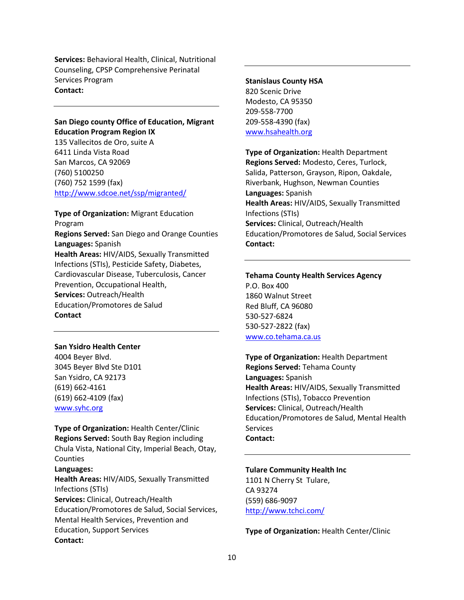**Services:** Behavioral Health, Clinical, Nutritional Counseling, CPSP Comprehensive Perinatal Services Program **Contact:** 

**San Diego county Office of Education, Migrant Education Program Region IX**

135 Vallecitos de Oro, suite A 6411 Linda Vista Road San Marcos, CA 92069 (760) 5100250 (760) 752 1599 (fax) <http://www.sdcoe.net/ssp/migranted/>

**Type of Organization:** Migrant Education Program **Regions Served:** San Diego and Orange Counties **Languages:** Spanish **Health Areas:** HIV/AIDS, Sexually Transmitted Infections (STIs), Pesticide Safety, Diabetes, Cardiovascular Disease, Tuberculosis, Cancer Prevention, Occupational Health, **Services:** Outreach/Health Education/Promotores de Salud **Contact**

### **San Ysidro Health Center**

4004 Beyer Blvd. 3045 Beyer Blvd Ste D101 San Ysidro, CA 92173 (619) 662-4161 (619) 662-4109 (fax) [www.syhc.org](http://www.syhc.org/)

**Type of Organization:** Health Center/Clinic **Regions Served:** South Bay Region including Chula Vista, National City, Imperial Beach, Otay, Counties

### **Languages: Health Areas:** HIV/AIDS, Sexually Transmitted Infections (STIs) **Services:** Clinical, Outreach/Health Education/Promotores de Salud, Social Services, Mental Health Services, Prevention and Education, Support Services **Contact:**

# **Stanislaus County HSA**

820 Scenic Drive Modesto, CA 95350 209-558-7700 209-558-4390 (fax) [www.hsahealth.org](http://www.hsahealth.org/)

**Type of Organization:** Health Department **Regions Served:** Modesto, Ceres, Turlock, Salida, Patterson, Grayson, Ripon, Oakdale, Riverbank, Hughson, Newman Counties **Languages:** Spanish **Health Areas:** HIV/AIDS, Sexually Transmitted Infections (STIs) **Services:** Clinical, Outreach/Health Education/Promotores de Salud, Social Services **Contact:**

### **Tehama County Health Services Agency** P.O. Box 400 1860 Walnut Street Red Bluff, CA 96080 530-527-6824 530-527-2822 (fax) [www.co.tehama.ca.us](http://www.co.tehama.ca.us/)

**Type of Organization:** Health Department **Regions Served:** Tehama County **Languages:** Spanish **Health Areas:** HIV/AIDS, Sexually Transmitted Infections (STIs), Tobacco Prevention **Services:** Clinical, Outreach/Health Education/Promotores de Salud, Mental Health Services **Contact:** 

#### **Tulare Community Health Inc**

1101 N Cherry St Tulare, CA 93274 (559) 686-9097 <http://www.tchci.com/>

**Type of Organization:** Health Center/Clinic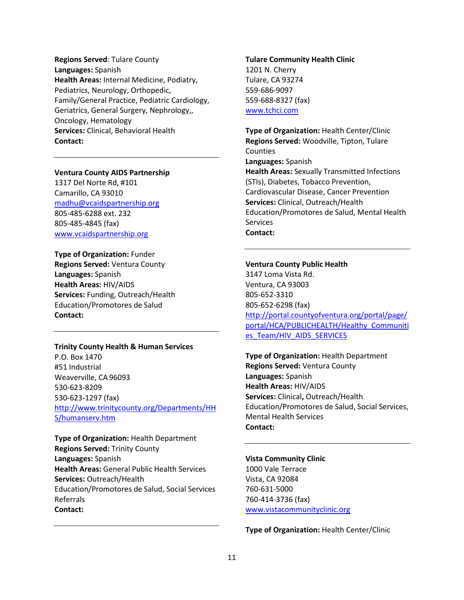**Regions Served**: Tulare County **Languages:** Spanish **Health Areas:** Internal Medicine, Podiatry, Pediatrics, Neurology, Orthopedic, Family/General Practice, Pediatric Cardiology, Geriatrics, General Surgery, Nephrology,, Oncology, Hematology **Services:** Clinical, Behavioral Health **Contact:** 

### **Ventura County AIDS Partnership**

1317 Del Norte Rd, #101 Camarillo, CA 93010 [madhu@vcaidspartnership.org](mailto:madhu@vcaidspartnership.org) 805-485-6288 ext. 232 805-485-4845 (fax) [www.vcaidspartnership.org](http://www.vcaidspartnership.org/)

**Type of Organization:** Funder **Regions Served:** Ventura County **Languages:** Spanish **Health Areas:** HIV/AIDS **Services:** Funding, Outreach/Health Education/Promotores de Salud **Contact:** 

#### **Trinity County Health & Human Services**

P.O. Box 1470 #51 Industrial Weaverville, CA96093 530-623-8209 530-623-1297 (fax) [http://www.trinitycounty.org/Departments/HH](http://www.trinitycounty.org/Departments/HHS/humanserv.htm) [S/humanserv.htm](http://www.trinitycounty.org/Departments/HHS/humanserv.htm)

**Type of Organization:** Health Department **Regions Served:** Trinity County **Languages:** Spanish **Health Areas:** General Public Health Services **Services:** Outreach/Health Education/Promotores de Salud, Social Services Referrals **Contact:** 

### **Tulare Community Health Clinic** 1201 N. Cherry Tulare, CA 93274

559-686-9097 559-688-8327 (fax) [www.tchci.com](http://www.tchci.com/)

**Type of Organization:** Health Center/Clinic **Regions Served:** Woodville, Tipton, Tulare **Counties Languages:** Spanish **Health Areas:** Sexually Transmitted Infections (STIs), Diabetes, Tobacco Prevention, Cardiovascular Disease, Cancer Prevention **Services:** Clinical, Outreach/Health Education/Promotores de Salud, Mental Health **Services Contact:** 

#### **Ventura County Public Health**

3147 Loma Vista Rd. Ventura, CA 93003 805-652-3310 805-652-6298 (fax) [http://portal.countyofventura.org/portal/page/](http://portal.countyofventura.org/portal/page/portal/HCA/PUBLICHEALTH/Healthy_Communities_Team/HIV_AIDS_SERVICES) [portal/HCA/PUBLICHEALTH/Healthy\\_Communiti](http://portal.countyofventura.org/portal/page/portal/HCA/PUBLICHEALTH/Healthy_Communities_Team/HIV_AIDS_SERVICES) [es\\_Team/HIV\\_AIDS\\_SERVICES](http://portal.countyofventura.org/portal/page/portal/HCA/PUBLICHEALTH/Healthy_Communities_Team/HIV_AIDS_SERVICES)

**Type of Organization:** Health Department **Regions Served:** Ventura County **Languages:** Spanish **Health Areas:** HIV/AIDS **Services:** Clinical**,** Outreach/Health Education/Promotores de Salud, Social Services, Mental Health Services **Contact:**

### **Vista Community Clinic**

1000 Vale Terrace Vista, CA 92084 760-631-5000 760-414-3736 (fax) [www.vistacommunityclinic.org](http://www.vistacommunityclinic.org/)

**Type of Organization:** Health Center/Clinic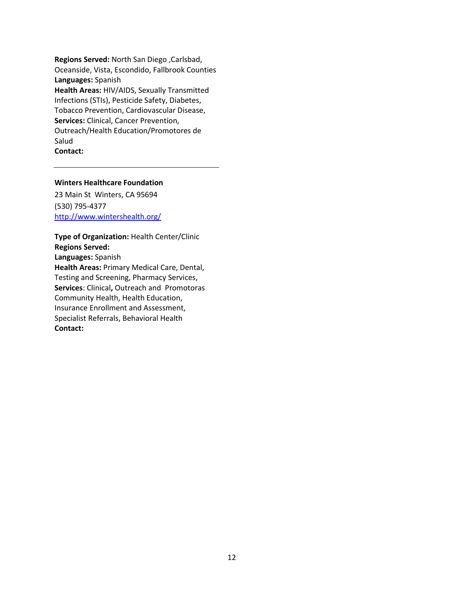**Regions Served:** North San Diego ,Carlsbad, Oceanside, Vista, Escondido, Fallbrook Counties **Languages:** Spanish **Health Areas:** HIV/AIDS, Sexually Transmitted Infections (STIs), Pesticide Safety, Diabetes, Tobacco Prevention, Cardiovascular Disease, **Services:** Clinical, Cancer Prevention, Outreach/Health Education/Promotores de Salud **Contact:**

### **Winters Healthcare Foundation**

23 Main St Winters, CA 95694 (530) 795-4377 <http://www.wintershealth.org/>

**Type of Organization:** Health Center/Clinic **Regions Served: Languages:** Spanish **Health Areas:** Primary Medical Care, Dental, Testing and Screening, Pharmacy Services, **Services**: Clinical**,** Outreach and Promotoras Community Health, Health Education, Insurance Enrollment and Assessment, Specialist Referrals, Behavioral Health **Contact:**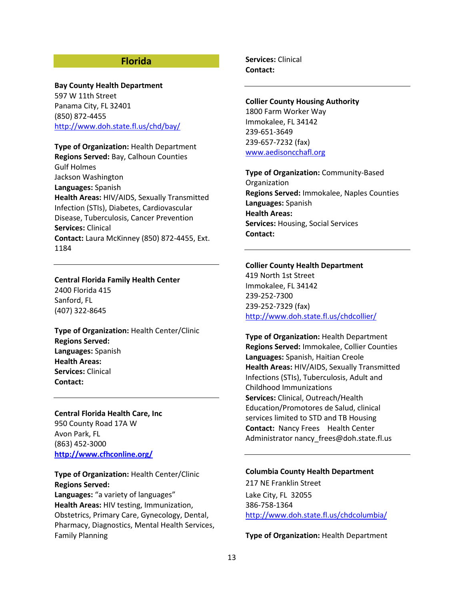### **Florida**

# **Bay County Health Department** 597 W 11th Street

Panama City, FL 32401 (850) 872-4455 <http://www.doh.state.fl.us/chd/bay/>

**Type of Organization:** Health Department **Regions Served:** Bay, Calhoun Counties Gulf Holmes Jackson Washington **Languages:** Spanish

**Health Areas:** HIV/AIDS, Sexually Transmitted Infection (STIs), Diabetes, Cardiovascular Disease, Tuberculosis, Cancer Prevention **Services:** Clinical **Contact:** Laura McKinney (850) 872-4455, Ext. 1184

### **Central Florida Family Health Center**

2400 Florida 415 Sanford, FL (407) 322-8645

**Type of Organization:** Health Center/Clinic **Regions Served: Languages:** Spanish **Health Areas: Services:** Clinical **Contact:**

**Central Florida Health Care, Inc** 950 County Road 17A W Avon Park, FL (863) 452-3000 **<http://www.cfhconline.org/>**

**Type of Organization:** Health Center/Clinic **Regions Served: Languages:** "a variety of languages" **Health Areas:** HIV testing, Immunization, Obstetrics, Primary Care, Gynecology, Dental, Pharmacy, Diagnostics, Mental Health Services, Family Planning

**Services:** Clinical **Contact:**

### **Collier County Housing Authority** 1800 Farm Worker Way

Immokalee, FL 34142 239-651-3649 239-657-7232 (fax) [www.aedisoncchafl.org](http://www.aedisoncchafl.org/)

**Type of Organization:** Community-Based Organization **Regions Served:** Immokalee, Naples Counties **Languages:** Spanish **Health Areas: Services:** Housing, Social Services **Contact:** 

#### **Collier County Health Department**

419 North 1st Street Immokalee, FL 34142 239-252-7300 239-252-7329 (fax) <http://www.doh.state.fl.us/chdcollier/>

**Type of Organization:** Health Department **Regions Served:** Immokalee, Collier Counties **Languages:** Spanish, Haitian Creole **Health Areas:** HIV/AIDS, Sexually Transmitted Infections (STIs), Tuberculosis, Adult and Childhood Immunizations **Services:** Clinical, Outreach/Health Education/Promotores de Salud, clinical services limited to STD and TB Housing **Contact:** Nancy Frees Health Center Administrator nancy frees@doh.state.fl.us

#### **Columbia County Health Department**

217 NE Franklin Street Lake City, FL 32055 386-758-1364 <http://www.doh.state.fl.us/chdcolumbia/>

**Type of Organization:** Health Department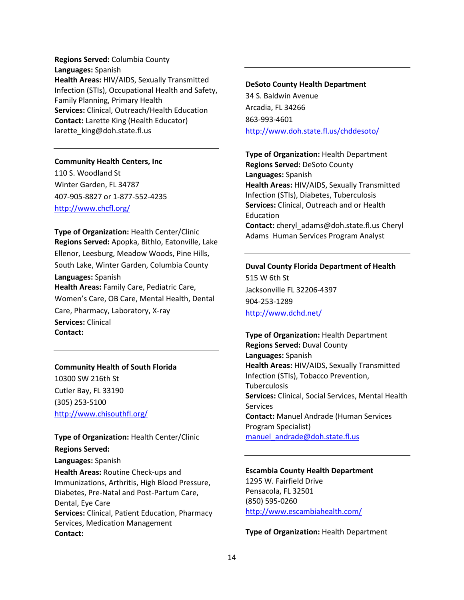**Regions Served:** Columbia County **Languages:** Spanish **Health Areas:** HIV/AIDS, Sexually Transmitted Infection (STIs), Occupational Health and Safety, Family Planning, Primary Health **Services:** Clinical, Outreach/Health Education **Contact:** Larette King (Health Educator) larette\_king@doh.state.fl.us

### **Community Health Centers, Inc**

110 S. Woodland St Winter Garden, FL 34787 407-905-8827 or 1-877-552-4235 <http://www.chcfl.org/>

**Type of Organization:** Health Center/Clinic **Regions Served:** Apopka, Bithlo, Eatonville, Lake Ellenor, Leesburg, Meadow Woods, Pine Hills, South Lake, Winter Garden, Columbia County **Languages:** Spanish **Health Areas:** Family Care, Pediatric Care, Women's Care, OB Care, Mental Health, Dental Care, Pharmacy, Laboratory, X-ray **Services:** Clinical **Contact:**

### **Community Health of South Florida**

10300 SW 216th St Cutler Bay, FL 33190 (305) 253-5100 <http://www.chisouthfl.org/>

### **Type of Organization:** Health Center/Clinic **Regions Served:**

**Languages:** Spanish **Health Areas:** Routine Check-ups and Immunizations, Arthritis, High Blood Pressure, Diabetes, Pre-Natal and Post-Partum Care, Dental, Eye Care **Services:** Clinical, Patient Education, Pharmacy Services, Medication Management **Contact:** 

#### **DeSoto County Health Department**

34 S. Baldwin Avenue Arcadia, FL 34266 863-993-4601 <http://www.doh.state.fl.us/chddesoto/>

**Type of Organization:** Health Department **Regions Served:** DeSoto County **Languages:** Spanish **Health Areas:** HIV/AIDS, Sexually Transmitted Infection (STIs), Diabetes, Tuberculosis **Services:** Clinical, Outreach and or Health Education **Contact:** cheryl\_adams@doh.state.fl.us Cheryl Adams Human Services Program Analyst

# **Duval County Florida Department of Health** 515 W 6th St Jacksonville FL 32206-4397 904-253-1289 <http://www.dchd.net/>

**Type of Organization:** Health Department **Regions Served:** Duval County **Languages:** Spanish **Health Areas:** HIV/AIDS, Sexually Transmitted Infection (STIs), Tobacco Prevention, Tuberculosis **Services:** Clinical, Social Services, Mental Health **Services Contact:** Manuel Andrade (Human Services Program Specialist) manuel andrade@doh.state.fl.us

### **Escambia County Health Department** 1295 W. Fairfield Drive Pensacola, FL 32501 (850) 595-0260 <http://www.escambiahealth.com/>

**Type of Organization:** Health Department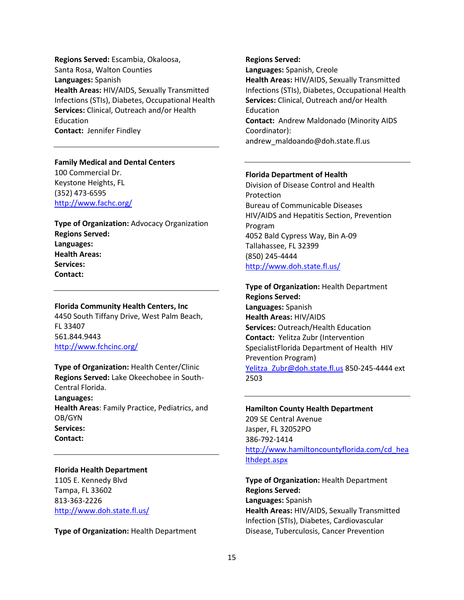**Regions Served:** Escambia, Okaloosa, Santa Rosa, Walton Counties **Languages:** Spanish **Health Areas:** HIV/AIDS, Sexually Transmitted Infections (STIs), Diabetes, Occupational Health **Services:** Clinical, Outreach and/or Health Education **Contact:** Jennifer Findley

### **Family Medical and Dental Centers** 100 Commercial Dr. Keystone Heights, FL

(352) 473-6595 <http://www.fachc.org/>

**Type of Organization:** Advocacy Organization **Regions Served: Languages: Health Areas: Services: Contact:** 

### **Florida Community Health Centers, Inc**

4450 South Tiffany Drive, West Palm Beach, FL 33407 561.844.9443 <http://www.fchcinc.org/>

**Type of Organization:** Health Center/Clinic **Regions Served:** Lake Okeechobee in South-Central Florida. **Languages:** 

**Health Areas**: Family Practice, Pediatrics, and OB/GYN **Services: Contact:** 

### **Florida Health Department**

1105 E. Kennedy Blvd Tampa, FL 33602 813-363-2226 <http://www.doh.state.fl.us/>

**Type of Organization:** Health Department

**Regions Served: Languages:** Spanish, Creole **Health Areas:** HIV/AIDS, Sexually Transmitted Infections (STIs), Diabetes, Occupational Health **Services:** Clinical, Outreach and/or Health Education **Contact:** Andrew Maldonado (Minority AIDS Coordinator): andrew\_maldoando@doh.state.fl.us

### **Florida Department of Health**

Division of Disease Control and Health Protection Bureau of Communicable Diseases HIV/AIDS and Hepatitis Section, Prevention Program 4052 Bald Cypress Way, Bin A-09 Tallahassee, FL 32399 (850) 245-4444 <http://www.doh.state.fl.us/>

**Type of Organization:** Health Department **Regions Served: Languages:** Spanish **Health Areas:** HIV/AIDS **Services:** Outreach/Health Education **Contact:** Yelitza Zubr (Intervention SpecialistFlorida Department of Health HIV Prevention Program) [Yelitza\\_Zubr@doh.state.fl.us](mailto:Yelitza_Zubr@doh.state.fl.us) 850-245-4444 ext 2503

**Hamilton County Health Department**  209 SE Central Avenue Jasper, FL 32052PO 386-792-1414 [http://www.hamiltoncountyflorida.com/cd\\_hea](http://www.hamiltoncountyflorida.com/cd_healthdept.aspx) [lthdept.aspx](http://www.hamiltoncountyflorida.com/cd_healthdept.aspx)

**Type of Organization:** Health Department **Regions Served: Languages:** Spanish **Health Areas:** HIV/AIDS, Sexually Transmitted Infection (STIs), Diabetes, Cardiovascular Disease, Tuberculosis, Cancer Prevention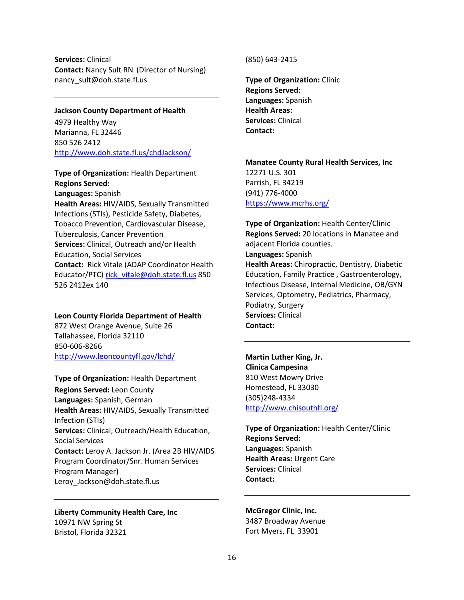**Services:** Clinical **Contact:** Nancy Sult RN (Director of Nursing) nancy\_sult@doh.state.fl.us

#### **Jackson County Department of Health**

4979 Healthy Way Marianna, FL 32446 850 526 2412 <http://www.doh.state.fl.us/chdJackson/>

### **Type of Organization:** Health Department **Regions Served:**

**Languages:** Spanish

**Health Areas:** HIV/AIDS, Sexually Transmitted Infections (STIs), Pesticide Safety, Diabetes, Tobacco Prevention, Cardiovascular Disease, Tuberculosis, Cancer Prevention **Services:** Clinical, Outreach and/or Health Education, Social Services **Contact:** Rick Vitale (ADAP Coordinator Health Educator/PTC) [rick\\_vitale@doh.state.fl.us](mailto:rick_vitale@doh.state.fl.us) 850 526 2412ex 140

#### **Leon County Florida Department of Health**

872 West Orange Avenue, Suite 26 Tallahassee, Florida 32110 850-606-8266 <http://www.leoncountyfl.gov/lchd/>

#### **Type of Organization:** Health Department

**Regions Served:** Leon County **Languages:** Spanish, German **Health Areas:** HIV/AIDS, Sexually Transmitted Infection (STIs) **Services:** Clinical, Outreach/Health Education, Social Services **Contact:** Leroy A. Jackson Jr. (Area 2B HIV/AIDS Program Coordinator/Snr. Human Services Program Manager) Leroy Jackson@doh.state.fl.us

**Liberty Community Health Care, Inc** 10971 NW Spring St Bristol, Florida 32321

#### (850) 643-2415

**Type of Organization:** Clinic **Regions Served: Languages:** Spanish **Health Areas: Services:** Clinical **Contact:** 

**Manatee County Rural Health Services, Inc** 12271 U.S. 301 Parrish, FL 34219 (941) 776-4000 <https://www.mcrhs.org/>

**Type of Organization:** Health Center/Clinic **Regions Served:** 20 locations in Manatee and adjacent Florida counties. **Languages:** Spanish **Health Areas:** Chiropractic, Dentistry, Diabetic Education, Family Practice , Gastroenterology, Infectious Disease, Internal Medicine, OB/GYN Services, Optometry, Pediatrics, Pharmacy, Podiatry, Surgery **Services:** Clinical **Contact:** 

**Martin Luther King, Jr. Clinica Campesina** 810 West Mowry Drive Homestead, FL 33030 (305)248-4334 <http://www.chisouthfl.org/>

**Type of Organization:** Health Center/Clinic **Regions Served: Languages:** Spanish **Health Areas:** Urgent Care **Services:** Clinical **Contact:** 

## **McGregor Clinic, Inc.**

3487 Broadway Avenue Fort Myers, FL 33901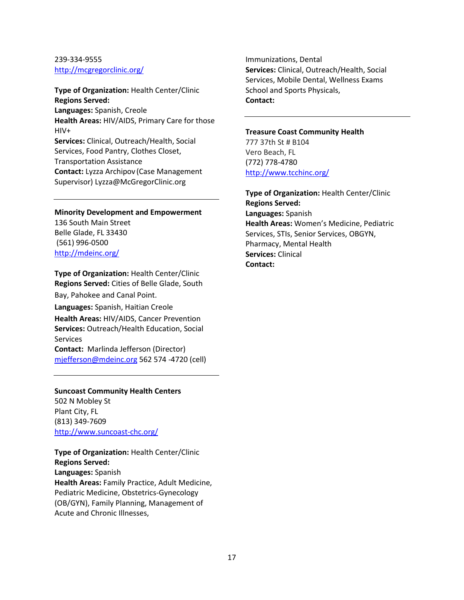### 239-334-9555 <http://mcgregorclinic.org/>

**Type of Organization:** Health Center/Clinic **Regions Served: Languages:** Spanish, Creole **Health Areas:** HIV/AIDS, Primary Care for those HIV+ **Services:** Clinical, Outreach/Health, Social Services, Food Pantry, Clothes Closet, Transportation Assistance **Contact:** Lyzza Archipov (Case Management Supervisor) Lyzza@McGregorClinic.org

**Minority Development and Empowerment** 136 South Main Street Belle Glade, FL 33430 (561) 996-0500 <http://mdeinc.org/>

**Type of Organization:** Health Center/Clinic **Regions Served:** Cities of Belle Glade, South Bay, Pahokee and Canal Point. **Languages:** Spanish, Haitian Creole **Health Areas:** HIV/AIDS, Cancer Prevention **Services:** Outreach/Health Education, Social **Services Contact:** Marlinda Jefferson (Director) [mjefferson@mdeinc.org](mailto:mjefferson@mdeinc.org) 562 574 -4720 (cell)

### **Suncoast Community Health Centers** 502 N Mobley St

Plant City, FL (813) 349-7609 <http://www.suncoast-chc.org/>

**Type of Organization:** Health Center/Clinic **Regions Served: Languages:** Spanish **Health Areas:** Family Practice, Adult Medicine, Pediatric Medicine, Obstetrics-Gynecology (OB/GYN), Family Planning, Management of Acute and Chronic Illnesses,

Immunizations, Dental **Services:** Clinical, Outreach/Health, Social Services, Mobile Dental, Wellness Exams School and Sports Physicals, **Contact:**

### **Treasure Coast Community Health**

777 37th St # B104 Vero Beach, FL (772) 778-4780 <http://www.tcchinc.org/>

**Type of Organization:** Health Center/Clinic **Regions Served: Languages:** Spanish **Health Areas:** Women's Medicine, Pediatric Services, STIs, Senior Services, OBGYN, Pharmacy, Mental Health **Services:** Clinical **Contact:**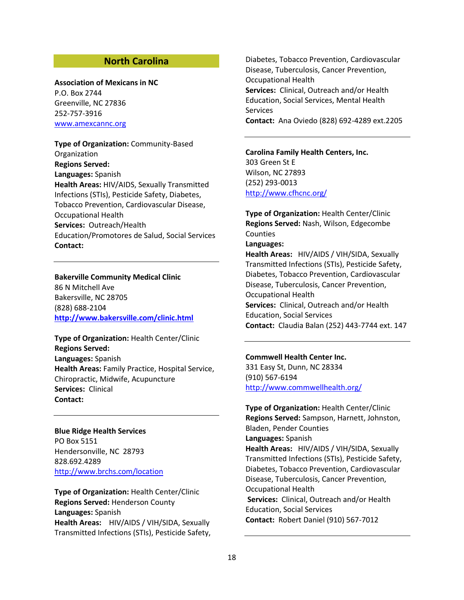### **North Carolina**

#### **Association of Mexicans in NC**

P.O. Box 2744 Greenville, NC 27836 252-757-3916 [www.amexcannc.org](http://www.amexcannc.org/)

**Type of Organization:** Community-Based Organization **Regions Served: Languages:** Spanish **Health Areas:** HIV/AIDS, Sexually Transmitted Infections (STIs), Pesticide Safety, Diabetes, Tobacco Prevention, Cardiovascular Disease, Occupational Health **Services:** Outreach/Health Education/Promotores de Salud, Social Services **Contact:**

### **Bakerville Community Medical Clinic**

86 N Mitchell Ave Bakersville, NC 28705 (828) 688-2104 **<http://www.bakersville.com/clinic.html>**

**Type of Organization:** Health Center/Clinic **Regions Served: Languages:** Spanish **Health Areas:** Family Practice, Hospital Service, Chiropractic, Midwife, Acupuncture **Services:** Clinical **Contact:**

**Blue Ridge Health Services**  PO Box 5151 Hendersonville, NC 28793 828.692.4289 <http://www.brchs.com/location>

**Type of Organization:** Health Center/Clinic **Regions Served:** Henderson County **Languages:** Spanish **Health Areas:** HIV/AIDS / VIH/SIDA, Sexually Transmitted Infections (STIs), Pesticide Safety, Diabetes, Tobacco Prevention, Cardiovascular Disease, Tuberculosis, Cancer Prevention, Occupational Health **Services:** Clinical, Outreach and/or Health Education, Social Services, Mental Health **Services Contact:** Ana Oviedo (828) 692-4289 ext.2205

**Carolina Family Health Centers, Inc.**  303 Green St E Wilson, NC 27893 (252) 293-0013 <http://www.cfhcnc.org/>

**Type of Organization:** Health Center/Clinic **Regions Served:** Nash, Wilson, Edgecombe **Counties Languages: Health Areas:** HIV/AIDS / VIH/SIDA, Sexually Transmitted Infections (STIs), Pesticide Safety, Diabetes, Tobacco Prevention, Cardiovascular Disease, Tuberculosis, Cancer Prevention, Occupational Health **Services:** Clinical, Outreach and/or Health

Education, Social Services **Contact:** Claudia Balan (252) 443-7744 ext. 147

#### **Commwell Health Center Inc.**

331 Easy St, Dunn, NC 28334 (910) 567-6194 <http://www.commwellhealth.org/>

**Type of Organization:** Health Center/Clinic **Regions Served:** Sampson, Harnett, Johnston, Bladen, Pender Counties **Languages:** Spanish **Health Areas:** HIV/AIDS / VIH/SIDA, Sexually Transmitted Infections (STIs), Pesticide Safety, Diabetes, Tobacco Prevention, Cardiovascular Disease, Tuberculosis, Cancer Prevention, Occupational Health **Services:** Clinical, Outreach and/or Health Education, Social Services **Contact:** Robert Daniel (910) 567-7012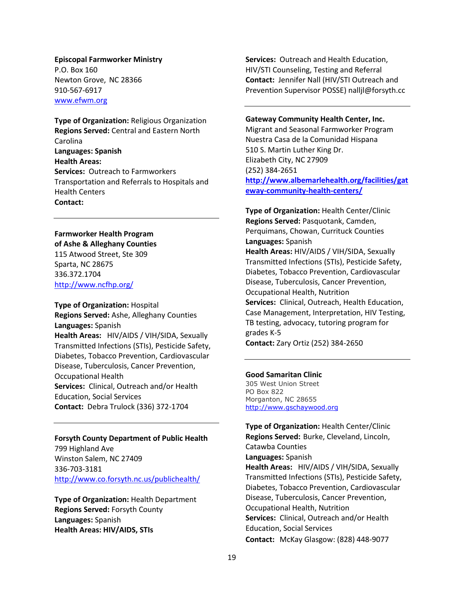### **Episcopal Farmworker Ministry** P.O. Box 160 Newton Grove, NC 28366 910-567-6917

[www.efwm.org](http://www.efwm.org/)

**Type of Organization:** Religious Organization **Regions Served:** Central and Eastern North Carolina **Languages: Spanish Health Areas: Services:** Outreach to Farmworkers Transportation and Referrals to Hospitals and Health Centers **Contact:**

### **Farmworker Health Program**

**of Ashe & Alleghany Counties**  115 Atwood Street, Ste 309 Sparta, NC 28675 336.372.1704 <http://www.ncfhp.org/>

### **Type of Organization:** Hospital **Regions Served:** Ashe, Alleghany Counties **Languages:** Spanish **Health Areas:** HIV/AIDS / VIH/SIDA, Sexually Transmitted Infections (STIs), Pesticide Safety, Diabetes, Tobacco Prevention, Cardiovascular Disease, Tuberculosis, Cancer Prevention, Occupational Health **Services:** Clinical, Outreach and/or Health Education, Social Services **Contact:** Debra Trulock (336) 372-1704

### **Forsyth County Department of Public Health**

799 Highland Ave Winston Salem, NC 27409 336-703-3181 <http://www.co.forsyth.nc.us/publichealth/>

**Type of Organization:** Health Department **Regions Served:** Forsyth County **Languages:** Spanish **Health Areas: HIV/AIDS, STIs**

**Services:** Outreach and Health Education, HIV/STI Counseling, Testing and Referral **Contact:** Jennifer Nall (HIV/STI Outreach and Prevention Supervisor POSSE) nalljl@forsyth.cc

### **Gateway Community Health Center, Inc.**

Migrant and Seasonal Farmworker Program Nuestra Casa de la Comunidad Hispana 510 S. Martin Luther King Dr. Elizabeth City, NC 27909 (252) 384-2651 **[http://www.albemarlehealth.org/facilities/gat](http://www.albemarlehealth.org/facilities/gateway-community-health-centers/) [eway-community-health-centers/](http://www.albemarlehealth.org/facilities/gateway-community-health-centers/)**

**Type of Organization:** Health Center/Clinic **Regions Served:** Pasquotank, Camden, Perquimans, Chowan, Currituck Counties **Languages:** Spanish **Health Areas:** HIV/AIDS / VIH/SIDA, Sexually Transmitted Infections (STIs), Pesticide Safety, Diabetes, Tobacco Prevention, Cardiovascular Disease, Tuberculosis, Cancer Prevention, Occupational Health, Nutrition **Services:** Clinical, Outreach, Health Education, Case Management, Interpretation, HIV Testing, TB testing, advocacy, tutoring program for grades K-5 **Contact:** Zary Ortiz (252) 384-2650

### **Good Samaritan Clinic**

305 West Union Street PO Box 822 Morganton, NC 28655 [http://www.gschaywood.org](http://www.gschaywood.org/)

**Type of Organization:** Health Center/Clinic **Regions Served:** Burke, Cleveland, Lincoln, Catawba Counties **Languages:** Spanish **Health Areas:** HIV/AIDS / VIH/SIDA, Sexually Transmitted Infections (STIs), Pesticide Safety, Diabetes, Tobacco Prevention, Cardiovascular Disease, Tuberculosis, Cancer Prevention, Occupational Health, Nutrition **Services:** Clinical, Outreach and/or Health Education, Social Services **Contact:** McKay Glasgow: (828) 448-9077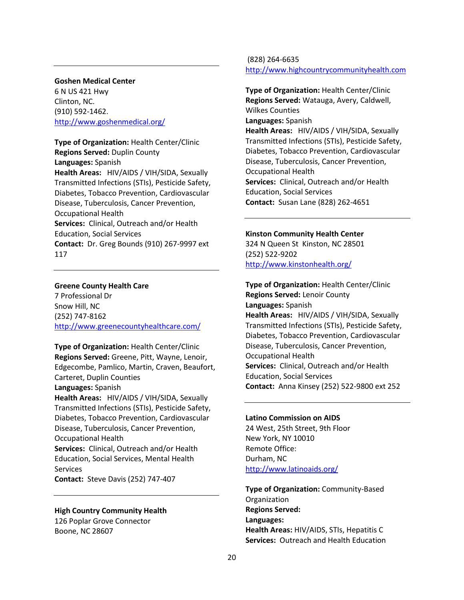### **Goshen Medical Center**

6 N US 421 Hwy Clinton, NC. (910) 592-1462. <http://www.goshenmedical.org/>

**Type of Organization:** Health Center/Clinic **Regions Served:** Duplin County **Languages:** Spanish **Health Areas:** HIV/AIDS / VIH/SIDA, Sexually Transmitted Infections (STIs), Pesticide Safety, Diabetes, Tobacco Prevention, Cardiovascular Disease, Tuberculosis, Cancer Prevention, Occupational Health **Services:** Clinical, Outreach and/or Health Education, Social Services **Contact:** Dr. Greg Bounds (910) 267-9997 ext 117

### **Greene County Health Care**

7 Professional Dr Snow Hill, NC (252) 747-8162 <http://www.greenecountyhealthcare.com/>

**Type of Organization:** Health Center/Clinic **Regions Served:** Greene, Pitt, Wayne, Lenoir, Edgecombe, Pamlico, Martin, Craven, Beaufort, Carteret, Duplin Counties

**Languages:** Spanish

**Health Areas:** HIV/AIDS / VIH/SIDA, Sexually Transmitted Infections (STIs), Pesticide Safety, Diabetes, Tobacco Prevention, Cardiovascular Disease, Tuberculosis, Cancer Prevention, Occupational Health

**Services:** Clinical, Outreach and/or Health Education, Social Services, Mental Health Services

**Contact:** Steve Davis (252) 747-407

#### **High Country Community Health**

126 Poplar Grove Connector Boone, NC 28607

(828) 264-6635 [http://www.highcountrycommunityhealth.com](http://www.highcountrycommunityhealth.com/)

**Type of Organization:** Health Center/Clinic **Regions Served:** Watauga, Avery, Caldwell, Wilkes Counties **Languages:** Spanish **Health Areas:** HIV/AIDS / VIH/SIDA, Sexually Transmitted Infections (STIs), Pesticide Safety, Diabetes, Tobacco Prevention, Cardiovascular Disease, Tuberculosis, Cancer Prevention, Occupational Health **Services:** Clinical, Outreach and/or Health Education, Social Services **Contact:** Susan Lane (828) 262-4651

#### **Kinston Community Health Center**

324 N Queen St Kinston, NC 28501 (252) 522-9202 <http://www.kinstonhealth.org/>

**Type of Organization:** Health Center/Clinic **Regions Served:** Lenoir County **Languages:** Spanish **Health Areas:** HIV/AIDS / VIH/SIDA, Sexually Transmitted Infections (STIs), Pesticide Safety, Diabetes, Tobacco Prevention, Cardiovascular Disease, Tuberculosis, Cancer Prevention, Occupational Health **Services:** Clinical, Outreach and/or Health Education, Social Services **Contact:** Anna Kinsey (252) 522-9800 ext 252

#### **Latino Commission on AIDS**

24 West, 25th Street, 9th Floor New York, NY 10010 Remote Office: Durham, NC <http://www.latinoaids.org/>

**Type of Organization:** Community-Based **Organization Regions Served: Languages: Health Areas:** HIV/AIDS, STIs, Hepatitis C **Services:** Outreach and Health Education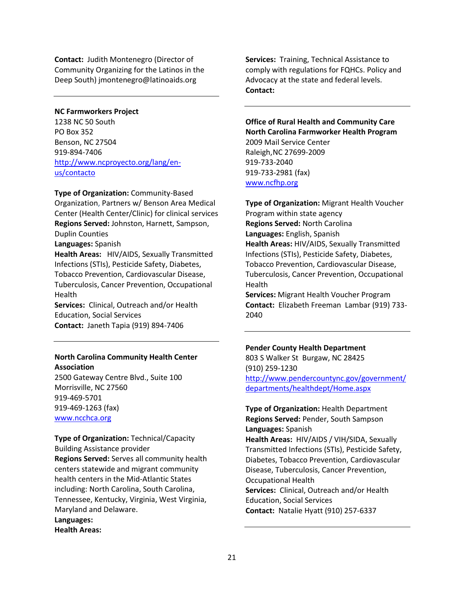**Contact:** Judith Montenegro (Director of Community Organizing for the Latinos in the Deep South) jmontenegro@latinoaids.org

### **NC Farmworkers Project**

1238 NC 50 South PO Box 352 Benson, NC 27504 919-894-7406 [http://www.ncproyecto.org/lang/en](http://www.ncproyecto.org/lang/en-us/contacto)[us/contacto](http://www.ncproyecto.org/lang/en-us/contacto)

### **Type of Organization:** Community-Based

Organization, Partners w/ Benson Area Medical Center (Health Center/Clinic) for clinical services **Regions Served:** Johnston, Harnett, Sampson, Duplin Counties

**Languages:** Spanish

**Health Areas:** HIV/AIDS, Sexually Transmitted Infections (STIs), Pesticide Safety, Diabetes, Tobacco Prevention, Cardiovascular Disease, Tuberculosis, Cancer Prevention, Occupational Health

**Services:** Clinical, Outreach and/or Health Education, Social Services **Contact:** Janeth Tapia (919) 894-7406

### **North Carolina Community Health Center Association**

2500 Gateway Centre Blvd., Suite 100 Morrisville, NC 27560 919-469-5701 919-469-1263 (fax) [www.ncchca.org](http://www.ncchca.org/)

**Type of Organization:** Technical/Capacity Building Assistance provider **Regions Served:** Serves all community health centers statewide and migrant community health centers in the Mid-Atlantic States including: North Carolina, South Carolina, Tennessee, Kentucky, Virginia, West Virginia, Maryland and Delaware. **Languages: Health Areas:**

**Services:** Training, Technical Assistance to comply with regulations for FQHCs. Policy and Advocacy at the state and federal levels. **Contact:**

### **Office of Rural Health and Community Care North Carolina Farmworker Health Program** 2009 Mail Service Center Raleigh,NC 27699-2009

919-733-2040 919-733-2981 (fax) [www.ncfhp.org](http://www.ncfhp.org/)

**Type of Organization:** Migrant Health Voucher Program within state agency **Regions Served:** North Carolina **Languages:** English, Spanish **Health Areas:** HIV/AIDS, Sexually Transmitted Infections (STIs), Pesticide Safety, Diabetes, Tobacco Prevention, Cardiovascular Disease, Tuberculosis, Cancer Prevention, Occupational Health

**Services:** Migrant Health Voucher Program **Contact:** Elizabeth Freeman Lambar (919) 733- 2040

#### **Pender County Health Department**

803 S Walker St Burgaw, NC 28425 (910) 259-1230 [http://www.pendercountync.gov/government/](http://www.pendercountync.gov/government/departments/healthdept/Home.aspx) [departments/healthdept/Home.aspx](http://www.pendercountync.gov/government/departments/healthdept/Home.aspx)

**Type of Organization:** Health Department **Regions Served:** Pender, South Sampson **Languages:** Spanish **Health Areas:** HIV/AIDS / VIH/SIDA, Sexually Transmitted Infections (STIs), Pesticide Safety, Diabetes, Tobacco Prevention, Cardiovascular Disease, Tuberculosis, Cancer Prevention, Occupational Health **Services:** Clinical, Outreach and/or Health Education, Social Services **Contact:** Natalie Hyatt (910) 257-6337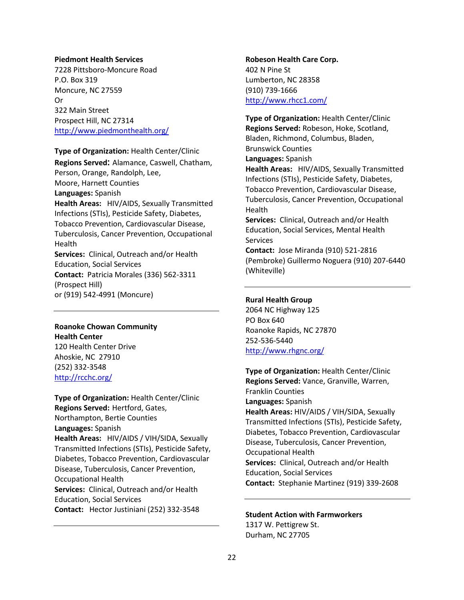#### **Piedmont Health Services**

7228 Pittsboro-Moncure Road P.O. Box 319 Moncure, NC 27559 Or 322 Main Street Prospect Hill, NC 27314 <http://www.piedmonthealth.org/>

#### **Type of Organization:** Health Center/Clinic

**Regions Served:** Alamance, Caswell, Chatham, Person, Orange, Randolph, Lee, Moore, Harnett Counties **Languages:** Spanish **Health Areas:** HIV/AIDS, Sexually Transmitted Infections (STIs), Pesticide Safety, Diabetes, Tobacco Prevention, Cardiovascular Disease, Tuberculosis, Cancer Prevention, Occupational Health **Services:** Clinical, Outreach and/or Health Education, Social Services **Contact:** Patricia Morales (336) 562-3311 (Prospect Hill) or (919) 542-4991 (Moncure)

### **Roanoke Chowan Community Health Center**

120 Health Center Drive Ahoskie, NC 27910 (252) 332-3548 <http://rcchc.org/>

**Type of Organization:** Health Center/Clinic **Regions Served:** Hertford, Gates, Northampton, Bertie Counties **Languages:** Spanish **Health Areas:** HIV/AIDS / VIH/SIDA, Sexually Transmitted Infections (STIs), Pesticide Safety, Diabetes, Tobacco Prevention, Cardiovascular Disease, Tuberculosis, Cancer Prevention, Occupational Health **Services:** Clinical, Outreach and/or Health Education, Social Services **Contact:** Hector Justiniani (252) 332-3548

**Robeson Health Care Corp.**  402 N Pine St Lumberton, NC 28358 (910) 739-1666 <http://www.rhcc1.com/>

**Type of Organization:** Health Center/Clinic **Regions Served:** Robeson, Hoke, Scotland, Bladen, Richmond, Columbus, Bladen, Brunswick Counties **Languages:** Spanish **Health Areas:** HIV/AIDS, Sexually Transmitted Infections (STIs), Pesticide Safety, Diabetes, Tobacco Prevention, Cardiovascular Disease, Tuberculosis, Cancer Prevention, Occupational **Health Services:** Clinical, Outreach and/or Health Education, Social Services, Mental Health **Services Contact:** Jose Miranda (910) 521-2816 (Pembroke) Guillermo Noguera (910) 207-6440 (Whiteville)

### **Rural Health Group**

2064 NC Highway 125 PO Box 640 Roanoke Rapids, NC 27870 252-536-5440 <http://www.rhgnc.org/>

**Type of Organization:** Health Center/Clinic **Regions Served:** Vance, Granville, Warren, Franklin Counties **Languages:** Spanish **Health Areas:** HIV/AIDS / VIH/SIDA, Sexually Transmitted Infections (STIs), Pesticide Safety, Diabetes, Tobacco Prevention, Cardiovascular Disease, Tuberculosis, Cancer Prevention, Occupational Health **Services:** Clinical, Outreach and/or Health Education, Social Services **Contact:** Stephanie Martinez (919) 339-2608

# **Student Action with Farmworkers**

1317 W. Pettigrew St. Durham, NC 27705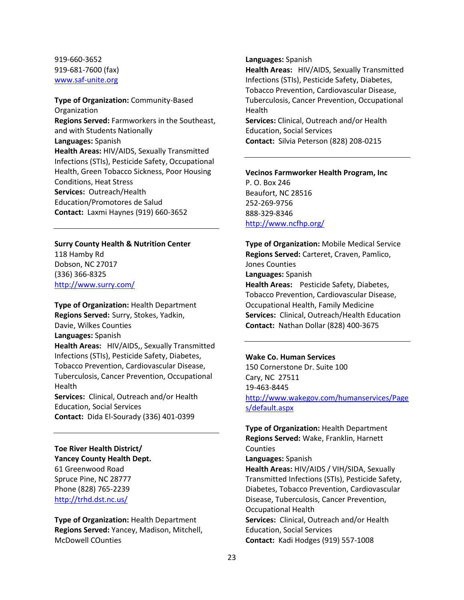### 919-660-3652 919-681-7600 (fax) [www.saf-unite.org](http://www.saf-unite.org/)

**Type of Organization:** Community-Based **Organization Regions Served:** Farmworkers in the Southeast, and with Students Nationally **Languages:** Spanish **Health Areas:** HIV/AIDS, Sexually Transmitted Infections (STIs), Pesticide Safety, Occupational Health, Green Tobacco Sickness, Poor Housing Conditions, Heat Stress **Services:** Outreach/Health Education/Promotores de Salud **Contact:** Laxmi Haynes (919) 660-3652

### **Surry County Health & Nutrition Center**

118 Hamby Rd Dobson, NC 27017 (336) 366-8325 <http://www.surry.com/>

**Type of Organization:** Health Department **Regions Served:** Surry, Stokes, Yadkin, Davie, Wilkes Counties **Languages:** Spanish **Health Areas:** HIV/AIDS,, Sexually Transmitted Infections (STIs), Pesticide Safety, Diabetes, Tobacco Prevention, Cardiovascular Disease, Tuberculosis, Cancer Prevention, Occupational Health **Services:** Clinical, Outreach and/or Health

Education, Social Services **Contact:** Dida El-Sourady (336) 401-0399

**Toe River Health District/ Yancey County Health Dept.**  61 Greenwood Road Spruce Pine, NC 28777 Phone (828) 765-2239 <http://trhd.dst.nc.us/>

**Type of Organization:** Health Department **Regions Served:** Yancey, Madison, Mitchell, McDowell COunties

#### **Languages:** Spanish

**Health Areas:** HIV/AIDS, Sexually Transmitted Infections (STIs), Pesticide Safety, Diabetes, Tobacco Prevention, Cardiovascular Disease, Tuberculosis, Cancer Prevention, Occupational Health

**Services:** Clinical, Outreach and/or Health Education, Social Services **Contact:** Silvia Peterson (828) 208-0215

### **Vecinos Farmworker Health Program, Inc** P. O. Box 246 Beaufort, NC 28516 252-269-9756 888-329-8346 <http://www.ncfhp.org/>

**Type of Organization:** Mobile Medical Service **Regions Served:** Carteret, Craven, Pamlico, Jones Counties **Languages:** Spanish **Health Areas:** Pesticide Safety, Diabetes, Tobacco Prevention, Cardiovascular Disease, Occupational Health, Family Medicine **Services:** Clinical, Outreach/Health Education **Contact:** Nathan Dollar (828) 400-3675

### **Wake Co. Human Services**

150 Cornerstone Dr. Suite 100 Cary, NC 27511 19-463-8445 [http://www.wakegov.com/humanservices/Page](http://www.wakegov.com/humanservices/Pages/default.aspx) [s/default.aspx](http://www.wakegov.com/humanservices/Pages/default.aspx)

**Type of Organization:** Health Department **Regions Served:** Wake, Franklin, Harnett Counties **Languages:** Spanish **Health Areas:** HIV/AIDS / VIH/SIDA, Sexually Transmitted Infections (STIs), Pesticide Safety, Diabetes, Tobacco Prevention, Cardiovascular Disease, Tuberculosis, Cancer Prevention, Occupational Health **Services:** Clinical, Outreach and/or Health Education, Social Services **Contact:** Kadi Hodges (919) 557-1008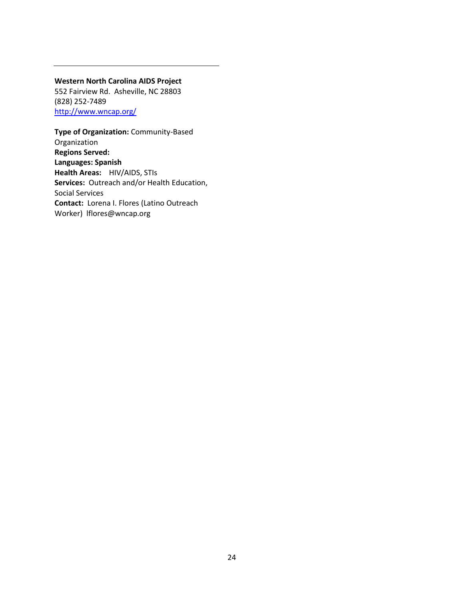### **Western North Carolina AIDS Project**

552 Fairview Rd. Asheville, NC 28803 (828) 252-7489 <http://www.wncap.org/>

### **Type of Organization:** Community-Based Organization **Regions Served: Languages: Spanish Health Areas:** HIV/AIDS, STIs **Services:** Outreach and/or Health Education, Social Services **Contact:** Lorena I. Flores (Latino Outreach Worker) lflores@wncap.org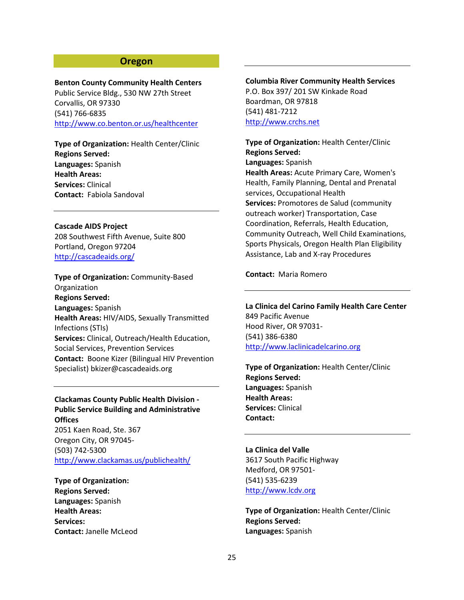### **Oregon**

**Benton County Community Health Centers** Public Service Bldg., 530 NW 27th Street

Corvallis, OR 97330 (541) 766-6835 <http://www.co.benton.or.us/healthcenter>

**Type of Organization:** Health Center/Clinic **Regions Served: Languages:** Spanish **Health Areas: Services:** Clinical **Contact:** Fabiola Sandoval

**Cascade AIDS Project** 208 Southwest Fifth Avenue, Suite 800 Portland, Oregon 97204 <http://cascadeaids.org/>

**Type of Organization:** Community-Based Organization **Regions Served: Languages:** Spanish **Health Areas:** HIV/AIDS, Sexually Transmitted Infections (STIs) **Services:** Clinical, Outreach/Health Education, Social Services, Prevention Services **Contact:** Boone Kizer (Bilingual HIV Prevention Specialist) bkizer@cascadeaids.org

**Clackamas County Public Health Division - Public Service Building and Administrative Offices**

2051 Kaen Road, Ste. 367 Oregon City, OR 97045- (503) 742-5300 <http://www.clackamas.us/publichealth/>

**Type of Organization: Regions Served: Languages:** Spanish **Health Areas: Services: Contact:** Janelle McLeod **Columbia River Community Health Services** P.O. Box 397/ 201 SW Kinkade Road Boardman, OR 97818 (541) 481-7212 [http://www.crchs.net](http://www.crchs.net/)

**Type of Organization:** Health Center/Clinic **Regions Served: Languages:** Spanish **Health Areas:** Acute Primary Care, Women's Health, Family Planning, Dental and Prenatal services, Occupational Health **Services:** Promotores de Salud (community outreach worker) Transportation, Case Coordination, Referrals, Health Education, Community Outreach, Well Child Examinations, Sports Physicals, Oregon Health Plan Eligibility Assistance, Lab and X-ray Procedures

### **Contact:** Maria Romero

**La Clinica del Carino Family Health Care Center** 849 Pacific Avenue Hood River, OR 97031- (541) 386-6380 [http://www.laclinicadelcarino.org](http://www.laclinicadelcarino.org/)

**Type of Organization:** Health Center/Clinic **Regions Served: Languages:** Spanish **Health Areas: Services:** Clinical **Contact:** 

**La Clinica del Valle** 3617 South Pacific Highway Medford, OR 97501- (541) 535-6239 [http://www.lcdv.org](http://www.lcdv.org/)

**Type of Organization:** Health Center/Clinic **Regions Served: Languages:** Spanish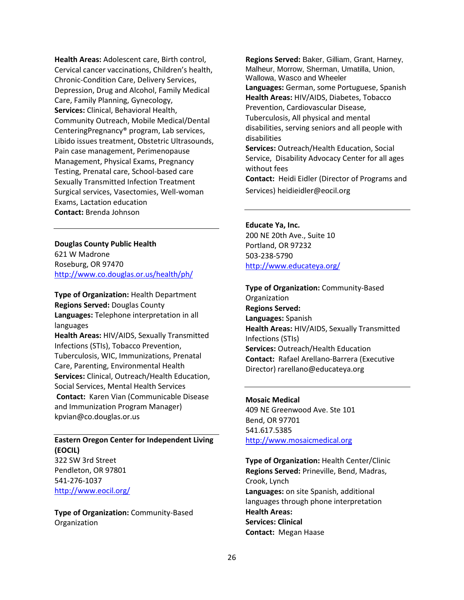**Health Areas:** Adolescent care, Birth control, Cervical cancer vaccinations, Children's health, Chronic-Condition Care, Delivery Services, Depression, Drug and Alcohol, Family Medical Care, Family Planning, Gynecology, **Services:** Clinical, Behavioral Health, Community Outreach, Mobile Medical/Dental CenteringPregnancy® program, Lab services, Libido issues treatment, Obstetric Ultrasounds, Pain case management, Perimenopause Management, Physical Exams, Pregnancy Testing, Prenatal care, School-based care Sexually Transmitted Infection Treatment Surgical services, Vasectomies, Well-woman Exams, Lactation education **Contact:** Brenda Johnson

**Douglas County Public Health** 621 W Madrone Roseburg, OR 97470 <http://www.co.douglas.or.us/health/ph/>

**Type of Organization:** Health Department **Regions Served:** Douglas County **Languages:** Telephone interpretation in all languages

**Health Areas:** HIV/AIDS, Sexually Transmitted Infections (STIs), Tobacco Prevention, Tuberculosis, WIC, Immunizations, Prenatal Care, Parenting, Environmental Health **Services:** Clinical, Outreach/Health Education, Social Services, Mental Health Services **Contact:** Karen Vian (Communicable Disease and Immunization Program Manager) kpvian@co.douglas.or.us

### **Eastern Oregon Center for Independent Living (EOCIL)** 322 SW 3rd Street

Pendleton, OR 97801 541-276-1037 <http://www.eocil.org/>

**Type of Organization:** Community-Based Organization

**Regions Served:** Baker, Gilliam, Grant, Harney, Malheur, Morrow, Sherman, Umatilla, Union, Wallowa, Wasco and Wheeler **Languages:** German, some Portuguese, Spanish **Health Areas:** HIV/AIDS, Diabetes, Tobacco Prevention, Cardiovascular Disease,

Tuberculosis, All physical and mental disabilities, serving seniors and all people with disabilities

**Services:** Outreach/Health Education, Social Service, Disability Advocacy Center for all ages without fees

**Contact:** Heidi Eidler (Director of Programs and Services) heidieidler@eocil.org

### **Educate Ya, Inc.**

200 NE 20th Ave., Suite 10 Portland, OR 97232 503-238-5790 <http://www.educateya.org/>

**Type of Organization:** Community-Based **Organization Regions Served: Languages:** Spanish **Health Areas:** HIV/AIDS, Sexually Transmitted Infections (STIs) **Services:** Outreach/Health Education **Contact:** Rafael Arellano-Barrera (Executive Director) rarellano@educateya.org

### **Mosaic Medical**

409 NE Greenwood Ave. Ste 101 Bend, OR 97701 541.617.5385 [http://www.mosaicmedical.org](http://www.mosaicmedical.org/)

**Type of Organization:** Health Center/Clinic **Regions Served:** Prineville, Bend, Madras, Crook, Lynch **Languages:** on site Spanish, additional languages through phone interpretation **Health Areas: Services: Clinical Contact:** Megan Haase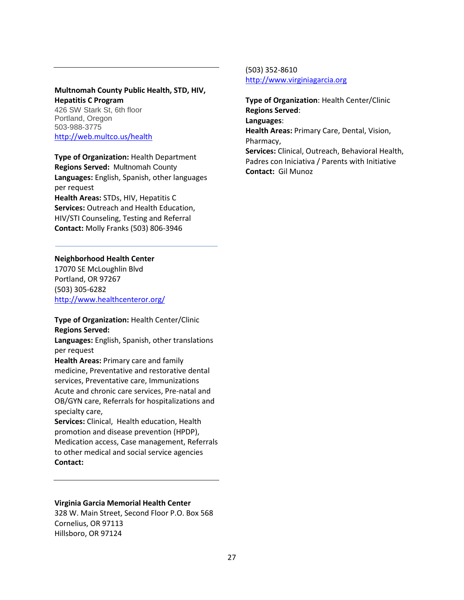### **Multnomah County Public Health, STD, HIV, Hepatitis C Program** 426 SW Stark St, 6th floor

Portland, Oregon 503-988-3775 <http://web.multco.us/health>

**Type of Organization:** Health Department **Regions Served:** Multnomah County **Languages:** English, Spanish, other languages per request **Health Areas:** STDs, HIV, Hepatitis C **Services:** Outreach and Health Education, HIV/STI Counseling, Testing and Referral **Contact:** Molly Franks (503) 806-3946

### **Neighborhood Health Center**

17070 SE McLoughlin Blvd Portland, OR 97267 (503) 305-6282 <http://www.healthcenteror.org/>

### **Type of Organization:** Health Center/Clinic **Regions Served:**

**Languages:** English, Spanish, other translations per request

**Health Areas:** Primary care and family medicine, Preventative and restorative dental services, Preventative care, Immunizations Acute and chronic care services, Pre-natal and OB/GYN care, Referrals for hospitalizations and specialty care,

**Services:** Clinical, Health education, Health promotion and disease prevention (HPDP), Medication access, Case management, Referrals to other medical and social service agencies **Contact:** 

### **Virginia Garcia Memorial Health Center**

328 W. Main Street, Second Floor P.O. Box 568 Cornelius, OR 97113 Hillsboro, OR 97124

(503) 352-8610 [http://www.virginiagarcia.org](http://www.virginiagarcia.org/)

**Type of Organization**: Health Center/Clinic **Regions Served**: **Languages**: **Health Areas:** Primary Care, Dental, Vision, Pharmacy, **Services:** Clinical, Outreach, Behavioral Health, Padres con Iniciativa / Parents with Initiative **Contact:** Gil Munoz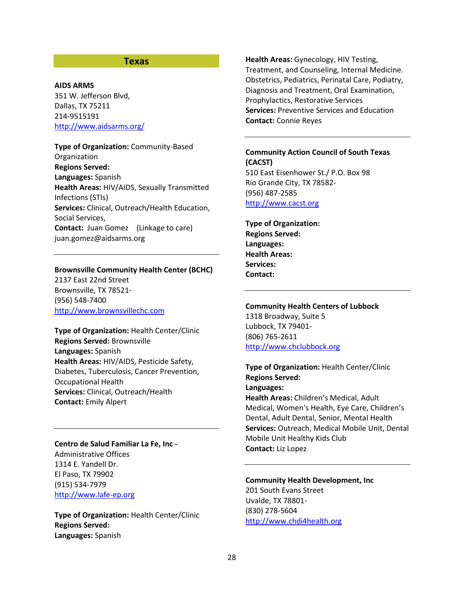### **Texas**

#### **AIDS ARMS**

351 W. Jefferson Blvd, Dallas, TX 75211 214-9515191 <http://www.aidsarms.org/>

**Type of Organization:** Community-Based **Organization Regions Served: Languages:** Spanish **Health Areas:** HIV/AIDS, Sexually Transmitted Infections (STIs) **Services:** Clinical, Outreach/Health Education, Social Services, **Contact:** Juan Gomez (Linkage to care) juan.gomez@aidsarms.org

### **Brownsville Community Health Center (BCHC)**

2137 East 22nd Street Brownsville, TX 78521- (956) 548-7400 [http://www.brownsvillechc.com](http://www.brownsvillechc.com/)

**Type of Organization:** Health Center/Clinic **Regions Served:** Brownsville **Languages:** Spanish **Health Areas:** HIV/AIDS, Pesticide Safety, Diabetes, Tuberculosis, Cancer Prevention, Occupational Health **Services:** Clinical, Outreach/Health **Contact:** Emily Alpert

#### **Centro de Salud Familiar La Fe, Inc -**

Administrative Offices 1314 E. Yandell Dr. El Paso, TX 79902 (915) 534-7979 [http://www.lafe-ep.org](http://www.lafe-ep.org/)

**Type of Organization:** Health Center/Clinic **Regions Served: Languages:** Spanish

**Health Areas:** Gynecology, HIV Testing, Treatment, and Counseling, Internal Medicine. Obstetrics, Pediatrics, Perinatal Care, Podiatry, Diagnosis and Treatment, Oral Examination, Prophylactics, Restorative Services **Services:** Preventive Services and Education **Contact:** Connie Reyes

# **Community Action Council of South Texas (CACST)**

510 East Eisenhower St./ P.O. Box 98 Rio Grande City, TX 78582- (956) 487-2585 [http://www.cacst.org](http://www.cacst.org/)

**Type of Organization: Regions Served: Languages: Health Areas: Services: Contact:** 

### **Community Health Centers of Lubbock** 1318 Broadway, Suite 5 Lubbock, TX 79401- (806) 765-2611 [http://www.chclubbock.org](http://www.chclubbock.org/)

**Type of Organization:** Health Center/Clinic **Regions Served: Languages: Health Areas:** Children's Medical, Adult Medical, Women's Health, Eye Care, Children's Dental, Adult Dental, Senior, Mental Health **Services:** Outreach, Medical Mobile Unit, Dental Mobile Unit Healthy Kids Club **Contact:** Liz Lopez

### **Community Health Development, Inc** 201 South Evans Street Uvalde, TX 78801- (830) 278-5604 [http://www.chdi4health.org](http://www.chdi4health.org/)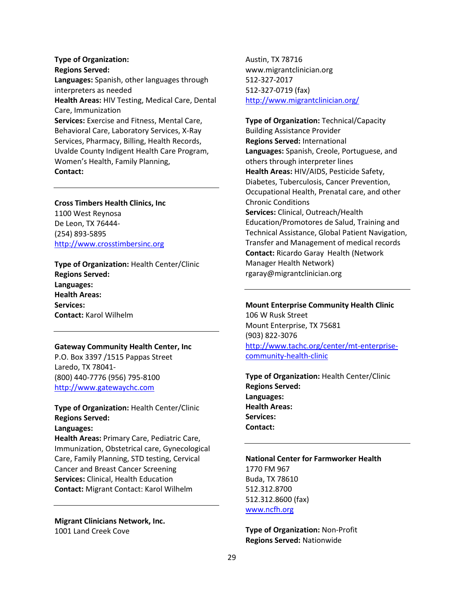**Type of Organization: Regions Served: Languages:** Spanish, other languages through interpreters as needed **Health Areas:** HIV Testing, Medical Care, Dental Care, Immunization **Services:** Exercise and Fitness, Mental Care, Behavioral Care, Laboratory Services, X-Ray Services, Pharmacy, Billing, Health Records, Uvalde County Indigent Health Care Program, Women's Health, Family Planning, **Contact:** 

### **Cross Timbers Health Clinics, Inc** 1100 West Reynosa De Leon, TX 76444- (254) 893-5895

[http://www.crosstimbersinc.org](http://www.crosstimbersinc.org/)

**Type of Organization:** Health Center/Clinic **Regions Served: Languages: Health Areas: Services: Contact:** Karol Wilhelm

#### **Gateway Community Health Center, Inc**

P.O. Box 3397 /1515 Pappas Street Laredo, TX 78041- (800) 440-7776 (956) 795-8100 [http://www.gatewaychc.com](http://www.gatewaychc.com/)

**Type of Organization:** Health Center/Clinic **Regions Served:**

**Languages:** 

**Health Areas:** Primary Care, Pediatric Care, Immunization, Obstetrical care, Gynecological Care, Family Planning, STD testing, Cervical Cancer and Breast Cancer Screening **Services:** Clinical, Health Education **Contact:** Migrant Contact: Karol Wilhelm

**Migrant Clinicians Network, Inc.** 1001 Land Creek Cove

Austin, TX 78716 www.migrantclinician.org 512-327-2017 512-327-0719 (fax) <http://www.migrantclinician.org/>

**Type of Organization:** Technical/Capacity Building Assistance Provider **Regions Served:** International **Languages:** Spanish, Creole, Portuguese, and others through interpreter lines **Health Areas:** HIV/AIDS, Pesticide Safety, Diabetes, Tuberculosis, Cancer Prevention, Occupational Health, Prenatal care, and other Chronic Conditions **Services:** Clinical, Outreach/Health Education/Promotores de Salud, Training and Technical Assistance, Global Patient Navigation, Transfer and Management of medical records **Contact:** Ricardo Garay Health (Network Manager Health Network) rgaray@migrantclinician.org

### **Mount Enterprise Community Health Clinic** 106 W Rusk Street Mount Enterprise, TX 75681 (903) 822-3076

[http://www.tachc.org/center/mt-enterprise](http://www.tachc.org/center/mt-enterprise-community-health-clinic)[community-health-clinic](http://www.tachc.org/center/mt-enterprise-community-health-clinic)

**Type of Organization:** Health Center/Clinic **Regions Served: Languages: Health Areas: Services: Contact:**

**National Center for Farmworker Health** 1770 FM 967 Buda, TX 78610 512.312.8700 512.312.8600 (fax) [www.ncfh.org](http://www.ncfh.org/)

**Type of Organization:** Non-Profit **Regions Served:** Nationwide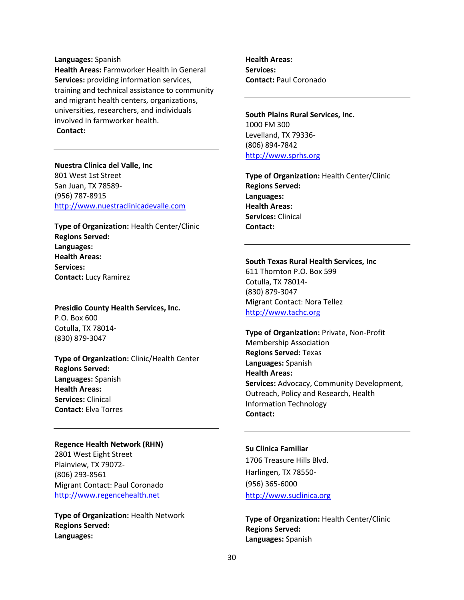#### **Languages:** Spanish

**Health Areas:** Farmworker Health in General **Services:** providing information services, training and technical assistance to community and migrant health centers, organizations, universities, researchers, and individuals involved in farmworker health. **Contact:** 

### **Nuestra Clinica del Valle, Inc**

801 West 1st Street San Juan, TX 78589- (956) 787-8915 [http://www.nuestraclinicadevalle.com](http://www.nuestraclinicadevalle.com/)

**Type of Organization:** Health Center/Clinic **Regions Served: Languages: Health Areas: Services: Contact:** Lucy Ramirez

**Presidio County Health Services, Inc.** P.O. Box 600 Cotulla, TX 78014- (830) 879-3047

**Type of Organization:** Clinic/Health Center **Regions Served: Languages:** Spanish **Health Areas: Services:** Clinical **Contact:** Elva Torres

#### **Regence Health Network (RHN)**

2801 West Eight Street Plainview, TX 79072- (806) 293-8561 Migrant Contact: Paul Coronado [http://www.regencehealth.net](http://www.regencehealth.net/)

**Type of Organization:** Health Network **Regions Served: Languages:** 

**Health Areas: Services: Contact:** Paul Coronado

**South Plains Rural Services, Inc.** 1000 FM 300 Levelland, TX 79336- (806) 894-7842 [http://www.sprhs.org](http://www.sprhs.org/)

**Type of Organization:** Health Center/Clinic **Regions Served: Languages: Health Areas: Services:** Clinical **Contact:** 

#### **South Texas Rural Health Services, Inc**

611 Thornton P.O. Box 599 Cotulla, TX 78014- (830) 879-3047 Migrant Contact: Nora Tellez [http://www.tachc.org](http://www.tachc.org/)

**Type of Organization:** Private, Non-Profit Membership Association **Regions Served:** Texas **Languages:** Spanish **Health Areas: Services:** Advocacy, Community Development, Outreach, Policy and Research, Health Information Technology **Contact:**

### **Su Clinica Familiar**

1706 Treasure Hills Blvd. Harlingen, TX 78550- (956) 365-6000 [http://www.suclinica.org](http://www.suclinica.org/)

**Type of Organization:** Health Center/Clinic **Regions Served: Languages:** Spanish